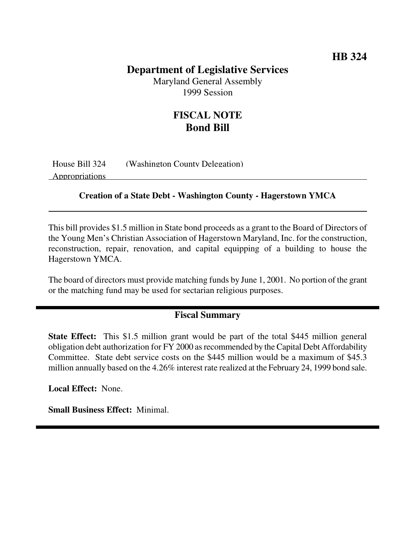### **Department of Legislative Services**

Maryland General Assembly 1999 Session

## **FISCAL NOTE Bond Bill**

House Bill 324 (Washington County Delegation) Appropriations

#### **Creation of a State Debt - Washington County - Hagerstown YMCA**

This bill provides \$1.5 million in State bond proceeds as a grant to the Board of Directors of the Young Men's Christian Association of Hagerstown Maryland, Inc. for the construction, reconstruction, repair, renovation, and capital equipping of a building to house the Hagerstown YMCA.

The board of directors must provide matching funds by June 1, 2001. No portion of the grant or the matching fund may be used for sectarian religious purposes.

#### **Fiscal Summary**

**State Effect:** This \$1.5 million grant would be part of the total \$445 million general obligation debt authorization for FY 2000 as recommended by the Capital Debt Affordability Committee. State debt service costs on the \$445 million would be a maximum of \$45.3 million annually based on the 4.26% interest rate realized at the February 24, 1999 bond sale.

**Local Effect:** None.

**Small Business Effect:** Minimal.